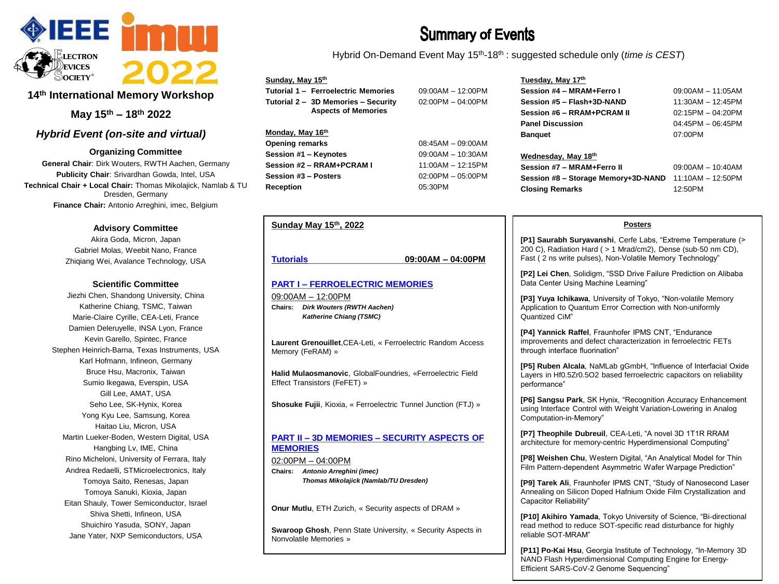

# **14th International Memory Workshop**

**May 15th – 18th 2022**

# *Hybrid Event (on-site and virtual)*

**Organizing Committee**

**General Chair**: Dirk Wouters, RWTH Aachen, Germany **Publicity Chair**: Srivardhan Gowda, Intel, USA **Technical Chair + Local Chair:** Thomas Mikolajick, Namlab & TU Dresden, Germany **Finance Chair:** Antonio Arreghini, imec, Belgium

#### **Advisory Committee**

Akira Goda, Micron, Japan Gabriel Molas, Weebit Nano, France Zhiqiang Wei, Avalance Technology, USA

#### **Scientific Committee**

Jiezhi Chen, Shandong University, China Katherine Chiang, TSMC, Taiwan Marie-Claire Cyrille, CEA-Leti, France Damien Deleruyelle, INSA Lyon, France Kevin Garello, Spintec, France Stephen Heinrich-Barna, Texas Instruments, USA Karl Hofmann, Infineon, Germany Bruce Hsu, Macronix, Taiwan Sumio Ikegawa, Everspin, USA Gill Lee, AMAT, USA Seho Lee, SK-Hynix, Korea Yong Kyu Lee, Samsung, Korea Haitao Liu, Micron, USA Martin Lueker-Boden, Western Digital, USA Hangbing Lv, IME, China Rino Micheloni, University of Ferrara, Italy Andrea Redaelli, STMicroelectronics, Italy Tomoya Saito, Renesas, Japan Tomoya Sanuki, Kioxia, Japan Eitan Shauly, Tower Semiconductor, Israel Shiva Shetti, Infineon, USA Shuichiro Yasuda, SONY, Japan Jane Yater, NXP Semiconductors, USA

# **Summary of Events**

Hybrid On-Demand Event May 15th-18th : suggested schedule only (*time is CEST*)

#### **Sunday, May 15th**

**Monday, May 16th**

**Tutorial 1 – Ferroelectric Memories** 09:00AM – 12:00PM **Tutorial 2 – 3D Memories – Security** 02:00PM – 04:00PM **Aspects of Memories**

**Opening remarks** 08:45AM – 09:00AM **Session #1 – Keynotes** 09:00AM – 10:30AM **Session #2 – RRAM+PCRAM I** 11:00AM – 12:15PM **Session #3 – Posters** 02:00PM – 05:00PM **Reception** 05:30PM

# **Tuesday, May 17th**

| Session #4 - MRAM+Ferro I                             | $09:00AM - 11:05AM$                        |
|-------------------------------------------------------|--------------------------------------------|
| Session #5 - Flash+3D-NAND                            | $11:30AM - 12:45PM$                        |
| Session #6 - RRAM+PCRAM II                            | $02:15PM - 04:20PM$<br>$04:45PM - 06:45PM$ |
| <b>Panel Discussion</b>                               |                                            |
| <b>Banguet</b>                                        | 07:00PM                                    |
| Wednesday, May 18th                                   |                                            |
| Session #7 - MRAM+Ferro II                            | $09:00AM - 10:40AM$                        |
| Session #8 - Storage Memory+3D-NAND 11:10AM - 12:50PM |                                            |
| <b>Closing Remarks</b>                                | 12:50PM                                    |

#### **Posters**

**[P1] Saurabh Suryavanshi**, Cerfe Labs, "Extreme Temperature (> 200 C), Radiation Hard ( > 1 Mrad/cm2), Dense (sub-50 nm CD), Fast ( 2 ns write pulses), Non-Volatile Memory Technology"

**[P2] Lei Chen**, Solidigm, "SSD Drive Failure Prediction on Alibaba Data Center Using Machine Learning"

**[P3] Yuya Ichikawa**, University of Tokyo, "Non-volatile Memory Application to Quantum Error Correction with Non-uniformly Quantized CiM"

**[P4] Yannick Raffel**, Fraunhofer IPMS CNT, "Endurance improvements and defect characterization in ferroelectric FETs through interface fluorination"

**[P5] Ruben Alcala**, NaMLab gGmbH, "Influence of Interfacial Oxide Layers in Hf0.5Zr0.5O2 based ferroelectric capacitors on reliability performance"

**[P6] Sangsu Park**, SK Hynix, "Recognition Accuracy Enhancement using Interface Control with Weight Variation-Lowering in Analog Computation-in-Memory"

**[P7] Theophile Dubreuil**, CEA-Leti, "A novel 3D 1T1R RRAM architecture for memory-centric Hyperdimensional Computing"

**[P8] Weishen Chu**, Western Digital, "An Analytical Model for Thin Film Pattern-dependent Asymmetric Wafer Warpage Prediction"

**[P9] Tarek Ali**, Fraunhofer IPMS CNT, "Study of Nanosecond Laser Annealing on Silicon Doped Hafnium Oxide Film Crystallization and Capacitor Reliability"

**[P10] Akihiro Yamada**, Tokyo University of Science, "Bi-directional read method to reduce SOT-specific read disturbance for highly reliable SOT-MRAM"

**[P11] Po-Kai Hsu**, Georgia Institute of Technology, "In-Memory 3D NAND Flash Hyperdimensional Computing Engine for Energy-Efficient SARS-CoV-2 Genome Sequencing"

# **Tutorials 09:00AM – 04:00PM**

**Sunday May 15th, 2022**

# **PART I – FERROELECTRIC MEMORIES**

09:00AM – 12:00PM **Chairs:** *Dirk Wouters (RWTH Aachen) Katherine Chiang (TSMC)*

**Laurent Grenouillet**,CEA-Leti, « Ferroelectric Random Access Memory (FeRAM) »

**Halid Mulaosmanovic**, GlobalFoundries, «Ferroelectric Field Effect Transistors (FeFET) »

**Shosuke Fujii**, Kioxia, « Ferroelectric Tunnel Junction (FTJ) »

# **PART II – 3D MEMORIES – SECURITY ASPECTS OF MEMORIES**

02:00PM – 04:00PM **Chairs:** *Antonio Arreghini (imec) Thomas Mikolajick (Namlab/TU Dresden)*

**Onur Mutlu**, ETH Zurich, « Security aspects of DRAM »

**Swaroop Ghosh**, Penn State University, « Security Aspects in Nonvolatile Memories »